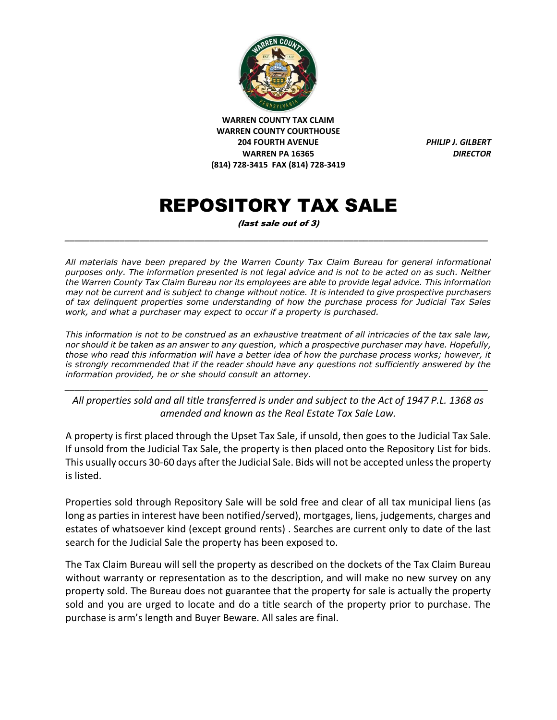

# REPOSITORY TAX SALE

(last sale out of 3) *\_\_\_\_\_\_\_\_\_\_\_\_\_\_\_\_\_\_\_\_\_\_\_\_\_\_\_\_\_\_\_\_\_\_\_\_\_\_\_\_\_\_\_\_\_\_\_\_\_\_\_\_\_\_\_\_\_\_\_\_\_\_\_\_\_\_\_\_\_\_\_\_\_\_\_\_\_\_\_\_\_\_\_\_\_*

*All materials have been prepared by the Warren County Tax Claim Bureau for general informational purposes only. The information presented is not legal advice and is not to be acted on as such. Neither the Warren County Tax Claim Bureau nor its employees are able to provide legal advice. This information may not be current and is subject to change without notice. It is intended to give prospective purchasers of tax delinquent properties some understanding of how the purchase process for Judicial Tax Sales work, and what a purchaser may expect to occur if a property is purchased.*

*This information is not to be construed as an exhaustive treatment of all intricacies of the tax sale law, nor should it be taken as an answer to any question, which a prospective purchaser may have. Hopefully, those who read this information will have a better idea of how the purchase process works; however, it is strongly recommended that if the reader should have any questions not sufficiently answered by the information provided, he or she should consult an attorney.*

*All properties sold and all title transferred is under and subject to the Act of 1947 P.L. 1368 as amended and known as the Real Estate Tax Sale Law.* 

*\_\_\_\_\_\_\_\_\_\_\_\_\_\_\_\_\_\_\_\_\_\_\_\_\_\_\_\_\_\_\_\_\_\_\_\_\_\_\_\_\_\_\_\_\_\_\_\_\_\_\_\_\_\_\_\_\_\_\_\_\_\_\_\_\_\_\_\_\_\_\_\_\_\_\_\_\_\_\_\_\_\_\_\_\_*

A property is first placed through the Upset Tax Sale, if unsold, then goes to the Judicial Tax Sale. If unsold from the Judicial Tax Sale, the property is then placed onto the Repository List for bids. This usually occurs 30-60 days after the Judicial Sale. Bids will not be accepted unless the property is listed.

Properties sold through Repository Sale will be sold free and clear of all tax municipal liens (as long as parties in interest have been notified/served), mortgages, liens, judgements, charges and estates of whatsoever kind (except ground rents) . Searches are current only to date of the last search for the Judicial Sale the property has been exposed to.

The Tax Claim Bureau will sell the property as described on the dockets of the Tax Claim Bureau without warranty or representation as to the description, and will make no new survey on any property sold. The Bureau does not guarantee that the property for sale is actually the property sold and you are urged to locate and do a title search of the property prior to purchase. The purchase is arm's length and Buyer Beware. All sales are final.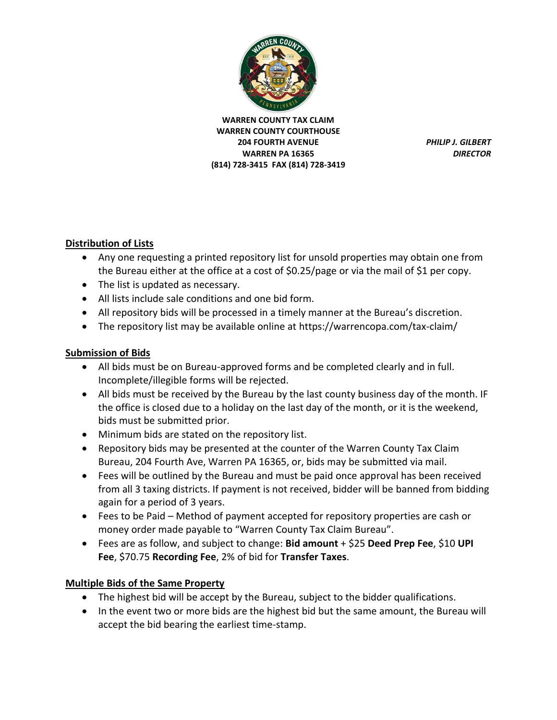

## **Distribution of Lists**

- Any one requesting a printed repository list for unsold properties may obtain one from the Bureau either at the office at a cost of \$0.25/page or via the mail of \$1 per copy.
- The list is updated as necessary.
- All lists include sale conditions and one bid form.
- All repository bids will be processed in a timely manner at the Bureau's discretion.
- The repository list may be available online at https://warrencopa.com/tax-claim/

#### **Submission of Bids**

- All bids must be on Bureau-approved forms and be completed clearly and in full. Incomplete/illegible forms will be rejected.
- All bids must be received by the Bureau by the last county business day of the month. IF the office is closed due to a holiday on the last day of the month, or it is the weekend, bids must be submitted prior.
- Minimum bids are stated on the repository list.
- Repository bids may be presented at the counter of the Warren County Tax Claim Bureau, 204 Fourth Ave, Warren PA 16365, or, bids may be submitted via mail.
- Fees will be outlined by the Bureau and must be paid once approval has been received from all 3 taxing districts. If payment is not received, bidder will be banned from bidding again for a period of 3 years.
- Fees to be Paid Method of payment accepted for repository properties are cash or money order made payable to "Warren County Tax Claim Bureau".
- Fees are as follow, and subject to change: **Bid amount** + \$25 **Deed Prep Fee**, \$10 **UPI Fee**, \$70.75 **Recording Fee**, 2% of bid for **Transfer Taxes**.

## **Multiple Bids of the Same Property**

- The highest bid will be accept by the Bureau, subject to the bidder qualifications.
- In the event two or more bids are the highest bid but the same amount, the Bureau will accept the bid bearing the earliest time-stamp.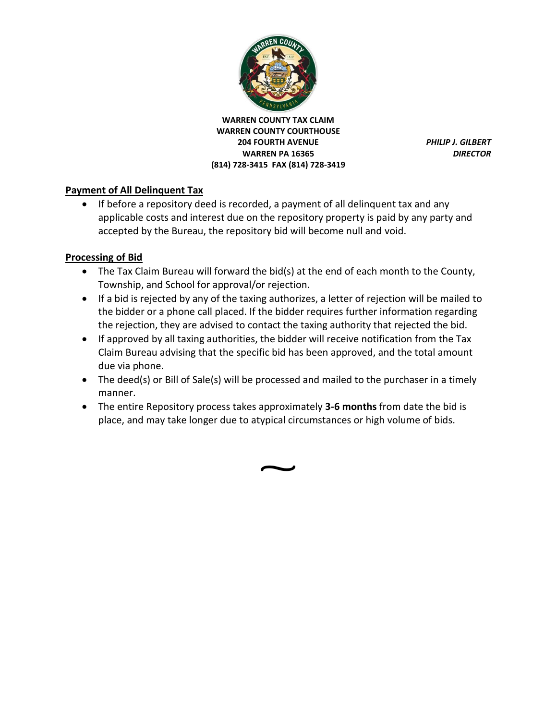

#### **Payment of All Delinquent Tax**

• If before a repository deed is recorded, a payment of all delinquent tax and any applicable costs and interest due on the repository property is paid by any party and accepted by the Bureau, the repository bid will become null and void.

#### **Processing of Bid**

- The Tax Claim Bureau will forward the bid(s) at the end of each month to the County, Township, and School for approval/or rejection.
- If a bid is rejected by any of the taxing authorizes, a letter of rejection will be mailed to the bidder or a phone call placed. If the bidder requires further information regarding the rejection, they are advised to contact the taxing authority that rejected the bid.
- If approved by all taxing authorities, the bidder will receive notification from the Tax Claim Bureau advising that the specific bid has been approved, and the total amount due via phone.
- The deed(s) or Bill of Sale(s) will be processed and mailed to the purchaser in a timely manner.
- The entire Repository process takes approximately **3-6 months** from date the bid is place, and may take longer due to atypical circumstances or high volume of bids.

**</u>**